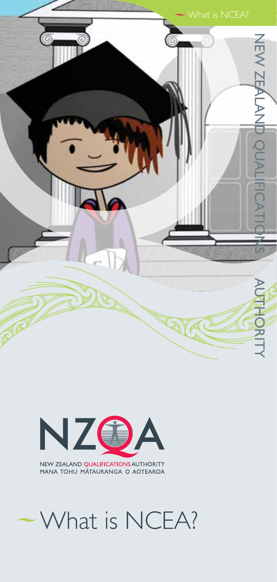



# What is NCEA?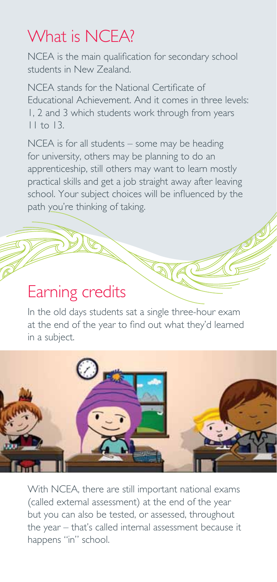## What is NCFA?

NCEA is the main qualification for secondary school students in New Zealand.

NCEA stands for the National Certificate of Educational Achievement. And it comes in three levels: 1, 2 and 3 which students work through from years 11 to 13.

NCEA is for all students – some may be heading for university, others may be planning to do an apprenticeship, still others may want to learn mostly practical skills and get a job straight away after leaving school. Your subject choices will be influenced by the path you're thinking of taking.

#### Earning credits

In the old days students sat a single three-hour exam at the end of the year to find out what they'd learned in a subject.



With NCEA, there are still important national exams (called external assessment) at the end of the year but you can also be tested, or assessed, throughout the year – that's called internal assessment because it happens "in" school.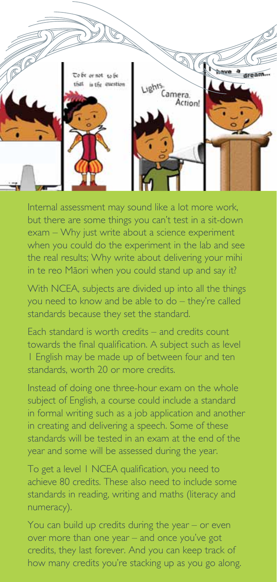

Internal assessment may sound like a lot more work, but there are some things you can't test in a sit-down exam – Why just write about a science experiment when you could do the experiment in the lab and see the real results; Why write about delivering your mihi in te reo Mäori when you could stand up and say it?

With NCEA, subjects are divided up into all the things you need to know and be able to do – they're called standards because they set the standard.

Each standard is worth credits – and credits count towards the final qualification. A subject such as level 1 English may be made up of between four and ten standards, worth 20 or more credits.

Instead of doing one three-hour exam on the whole subject of English, a course could include a standard in formal writing such as a job application and another in creating and delivering a speech. Some of these standards will be tested in an exam at the end of the year and some will be assessed during the year.

To get a level 1 NCEA qualification, you need to achieve 80 credits. These also need to include some standards in reading, writing and maths (literacy and numeracy).

You can build up credits during the year – or even over more than one year – and once you've got credits, they last forever. And you can keep track of how many credits you're stacking up as you go along.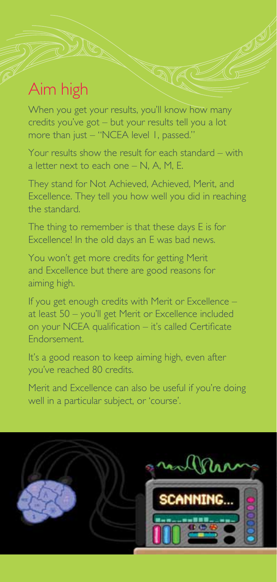## Aim high

When you get your results, you'll know how many credits you've got – but your results tell you a lot more than just – "NCEA level 1, passed."

Your results show the result for each standard – with a letter next to each one – N, A, M, E.

They stand for Not Achieved, Achieved, Merit, and Excellence. They tell you how well you did in reaching the standard.

The thing to remember is that these days E is for Excellence! In the old days an E was bad news.

You won't get more credits for getting Merit and Excellence but there are good reasons for aiming high.

If you get enough credits with Merit or Excellence – at least 50 – you'll get Merit or Excellence included on your NCEA qualification – it's called Certificate Endorsement.

It's a good reason to keep aiming high, even after you've reached 80 credits.

Merit and Excellence can also be useful if you're doing well in a particular subject, or 'course'.

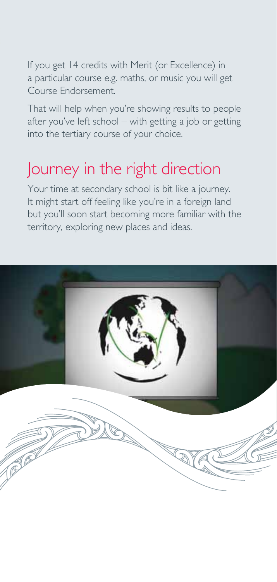If you get 14 credits with Merit (or Excellence) in a particular course e.g. maths, or music you will get Course Endorsement.

That will help when you're showing results to people after you've left school – with getting a job or getting into the tertiary course of your choice.

#### Journey in the right direction

Your time at secondary school is bit like a journey. It might start off feeling like you're in a foreign land but you'll soon start becoming more familiar with the territory, exploring new places and ideas.

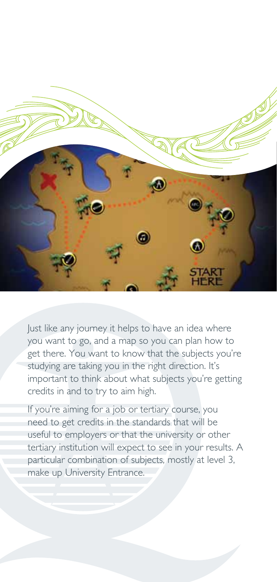

Just like any journey it helps to have an idea where you want to go, and a map so you can plan how to get there. You want to know that the subjects you're studying are taking you in the right direction. It's important to think about what subjects you're getting credits in and to try to aim high.

If you're aiming for a job or tertiary course, you need to get credits in the standards that will be useful to employers or that the university or other tertiary institution will expect to see in your results. A particular combination of subjects, mostly at level 3, make up University Entrance.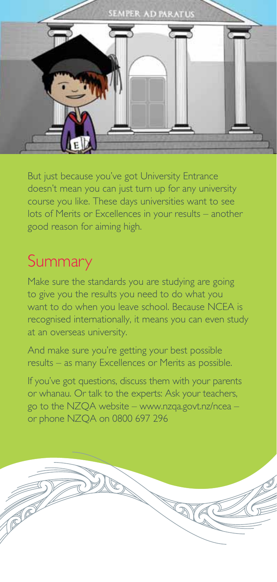

But just because you've got University Entrance doesn't mean you can just turn up for any university course you like. These days universities want to see lots of Merits or Excellences in your results – another good reason for aiming high.

### **Summary**

Make sure the standards you are studying are going to give you the results you need to do what you want to do when you leave school. Because NCEA is recognised internationally, it means you can even study at an overseas university.

And make sure you're getting your best possible results – as many Excellences or Merits as possible.

If you've got questions, discuss them with your parents or whanau. Or talk to the experts: Ask your teachers, go to the NZQA website – www.nzqa.govt.nz/ncea – or phone NZQA on 0800 697 296